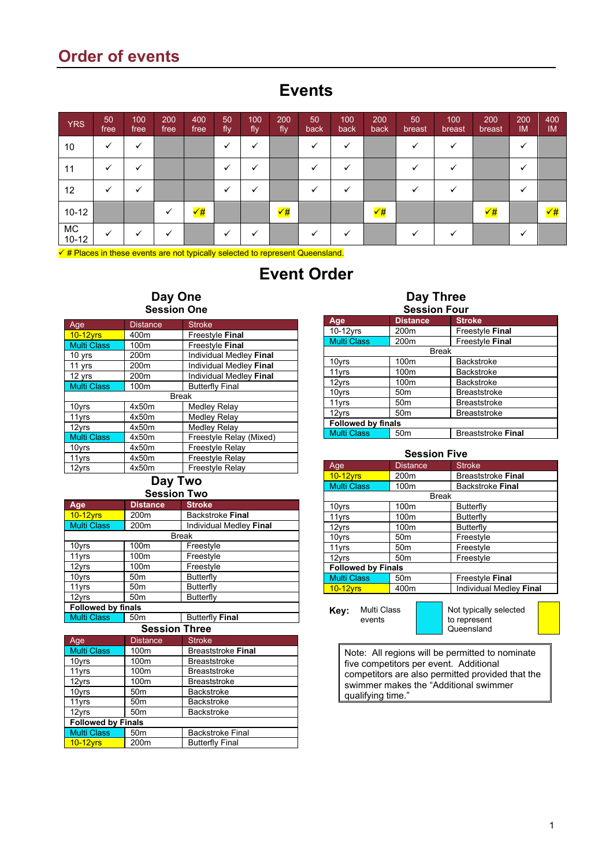# **Order of events**

## **Events**

| <b>YRS</b>    | 50<br>free | 100<br>free | 200<br>free | 400<br>free  | 50<br>fly | 100<br>fly | 200<br>fly   | 50<br>back | 100<br>back | 200<br>back  | 50<br>breast | 100<br>breast | 200<br>breast        | 200<br><b>IM</b> | 400<br><b>IM</b> |
|---------------|------------|-------------|-------------|--------------|-----------|------------|--------------|------------|-------------|--------------|--------------|---------------|----------------------|------------------|------------------|
| 10            |            |             |             |              |           |            |              |            |             |              |              |               |                      |                  |                  |
| 11            |            |             |             |              |           |            |              |            |             |              |              |               |                      |                  |                  |
| $12 \,$       |            |             |             |              |           |            |              |            |             |              |              |               |                      |                  |                  |
| $10 - 12$     |            |             |             | $\checkmark$ |           |            | $\checkmark$ |            |             | $\checkmark$ |              |               | $\sqrt{\frac{4}{7}}$ |                  | $\sqrt{t}$       |
| MC<br>$10-12$ |            |             |             |              |           |            |              |            |             |              |              |               |                      |                  |                  |

 $\checkmark$  # Places in these events are not typically selected to represent Queensland.

## **Event Order**

### **Day One Session One**

| Age                | <b>Distance</b>  | <b>Stroke</b>           |  |  |
|--------------------|------------------|-------------------------|--|--|
| $10-12$ yrs        | 400m             | Freestyle Final         |  |  |
| <b>Multi Class</b> | 100m             | Freestyle Final         |  |  |
| 10 yrs             | 200m             | Individual Medley Final |  |  |
| 11 yrs             | 200m             | Individual Medley Final |  |  |
| 12 yrs             | 200 <sub>m</sub> | Individual Medley Final |  |  |
| <b>Multi Class</b> | 100m             | <b>Butterfly Final</b>  |  |  |
| <b>Break</b>       |                  |                         |  |  |
| 10yrs              | 4x50m            | Medley Relay            |  |  |
| 11yrs              | 4x50m            | <b>Medley Relay</b>     |  |  |
| 12yrs              | 4x50m            | Medley Relay            |  |  |
| <b>Multi Class</b> | 4x50m            | Freestyle Relay (Mixed) |  |  |
| 10yrs              | 4x50m            | Freestyle Relay         |  |  |
| 11yrs              | 4x50m            | Freestyle Relay         |  |  |
| 12vrs              | 4x50m            | Freestyle Relay         |  |  |

**Day Two**

**Session Two**

| Age                       | <b>Distance</b>          | <b>Stroke</b>           |  |  |
|---------------------------|--------------------------|-------------------------|--|--|
| <b>10-12yrs</b>           | 200 <sub>m</sub>         | <b>Backstroke Final</b> |  |  |
| <b>Multi Class</b>        | 200m                     | Individual Medley Final |  |  |
|                           |                          | Break                   |  |  |
| 10yrs                     | 100m                     | Freestyle               |  |  |
| 11yrs                     | 100m                     | Freestyle               |  |  |
| 12yrs                     | 100m                     | Freestyle               |  |  |
| 10yrs                     | 50 <sub>m</sub>          | Butterfly               |  |  |
| 11yrs                     | 50 <sub>m</sub>          | Butterfly               |  |  |
| 12yrs                     | 50 <sub>m</sub>          | Butterfly               |  |  |
| <b>Followed by finals</b> |                          |                         |  |  |
| Multi Class               | 50 <sub>m</sub>          | <b>Butterfly Final</b>  |  |  |
|                           | $\overline{\phantom{a}}$ |                         |  |  |

| <b>Session Three</b>      |                 |                           |  |  |
|---------------------------|-----------------|---------------------------|--|--|
| Age                       | <b>Distance</b> | <b>Stroke</b>             |  |  |
| <b>Multi Class</b>        | 100m            | <b>Breaststroke Final</b> |  |  |
| 10yrs                     | 100m            | <b>Breaststroke</b>       |  |  |
| 11yrs                     | 100m            | <b>Breaststroke</b>       |  |  |
| 12yrs                     | 100m            | <b>Breaststroke</b>       |  |  |
| 10yrs                     | 50 <sub>m</sub> | <b>Backstroke</b>         |  |  |
| 11yrs                     | 50 <sub>m</sub> | <b>Backstroke</b>         |  |  |
| 12yrs                     | 50 <sub>m</sub> | <b>Backstroke</b>         |  |  |
| <b>Followed by Finals</b> |                 |                           |  |  |
| <b>Multi Class</b>        | 50 <sub>m</sub> | <b>Backstroke Final</b>   |  |  |
| $10-12$ yrs               | 200m            | <b>Butterfly Final</b>    |  |  |

## **Day Three**

| <b>Session Four</b>                                                |                           |                     |  |  |
|--------------------------------------------------------------------|---------------------------|---------------------|--|--|
| Age                                                                | <b>Distance</b>           | <b>Stroke</b>       |  |  |
| 10-12yrs                                                           | 200 <sub>m</sub>          | Freestyle Final     |  |  |
| <b>Multi Class</b>                                                 | 200 <sub>m</sub>          | Freestyle Final     |  |  |
|                                                                    | <b>Break</b>              |                     |  |  |
| 10yrs                                                              | 100 <sub>m</sub>          | <b>Backstroke</b>   |  |  |
| 11yrs                                                              | 100 <sub>m</sub>          | <b>Backstroke</b>   |  |  |
| 12yrs                                                              | 100 <sub>m</sub>          | <b>Backstroke</b>   |  |  |
| 10yrs                                                              | 50 <sub>m</sub>           | <b>Breaststroke</b> |  |  |
| 11yrs                                                              | 50 <sub>m</sub>           | <b>Breaststroke</b> |  |  |
| 12yrs                                                              | 50 <sub>m</sub>           | <b>Breaststroke</b> |  |  |
|                                                                    | <b>Followed by finals</b> |                     |  |  |
| <b>Multi Class</b><br><b>Breaststroke Final</b><br>50 <sub>m</sub> |                           |                     |  |  |

#### **Session Five**

| Age                       | <b>Distance</b>  | <b>Stroke</b>             |  |
|---------------------------|------------------|---------------------------|--|
| $10-12$ yrs               | 200 <sub>m</sub> | <b>Breaststroke Final</b> |  |
| <b>Multi Class</b>        | 100 <sub>m</sub> | <b>Backstroke Final</b>   |  |
|                           | <b>Break</b>     |                           |  |
| 10yrs                     | 100 <sub>m</sub> | Butterfly                 |  |
| 11yrs                     | 100m             | Butterfly                 |  |
| 12yrs                     | 100 <sub>m</sub> | Butterfly                 |  |
| 10yrs                     | 50 <sub>m</sub>  | Freestyle                 |  |
| 11yrs                     | 50 <sub>m</sub>  | Freestyle                 |  |
| 12yrs                     | 50 <sub>m</sub>  | Freestyle                 |  |
| <b>Followed by Finals</b> |                  |                           |  |
| <b>Multi Class</b>        | 50 <sub>m</sub>  | Freestyle Final           |  |
| $10-12$ yrs               | 400m             | Individual Medley Final   |  |
|                           |                  |                           |  |

**Key:** Multi Class events

Not typically selected to represent Queensland

Note: All regions will be permitted to nominate five competitors per event. Additional competitors are also permitted provided that the swimmer makes the "Additional swimmer qualifying time."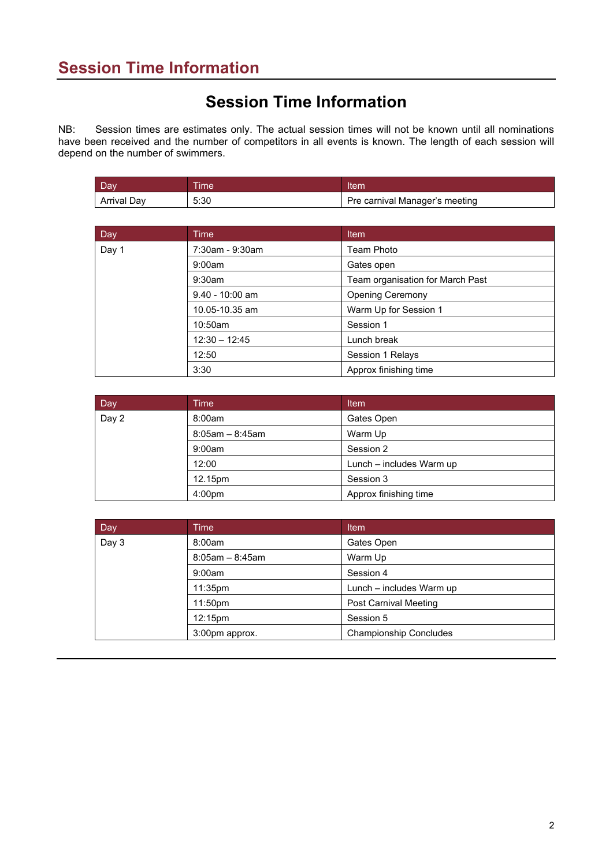# **Session Time Information**

NB: Session times are estimates only. The actual session times will not be known until all nominations have been received and the number of competitors in all events is known. The length of each session will depend on the number of swimmers.

| Dav         | <b>Time</b> | Item                           |
|-------------|-------------|--------------------------------|
| Arrival Dav | 5:30        | Pre carnival Manager's meeting |

| Day   | <b>Time</b>       | Item                             |  |
|-------|-------------------|----------------------------------|--|
| Day 1 | 7:30am - 9:30am   | Team Photo                       |  |
|       | 9:00am            | Gates open                       |  |
|       | $9:30$ am         | Team organisation for March Past |  |
|       | $9.40 - 10:00$ am | <b>Opening Ceremony</b>          |  |
|       | 10.05-10.35 am    | Warm Up for Session 1            |  |
|       | 10:50am           | Session 1                        |  |
|       | $12:30 - 12:45$   | Lunch break                      |  |
|       | 12:50             | Session 1 Relays                 |  |
|       | 3:30              | Approx finishing time            |  |

| Day   | Time                 | Item                     |  |
|-------|----------------------|--------------------------|--|
| Day 2 | 8:00am               | Gates Open               |  |
|       | $8:05$ am $-8:45$ am | Warm Up                  |  |
|       | 9:00am               | Session 2                |  |
|       | 12:00                | Lunch - includes Warm up |  |
|       | 12.15pm              | Session 3                |  |
|       | 4:00 <sub>pm</sub>   | Approx finishing time    |  |

| Day   | Time <sup>1</sup>     | Item                          |
|-------|-----------------------|-------------------------------|
| Day 3 | 8:00am                | Gates Open                    |
|       | $8:05$ am - $8:45$ am | Warm Up                       |
|       | 9:00am                | Session 4                     |
|       | 11:35 <sub>pm</sub>   | Lunch - includes Warm up      |
|       | 11:50pm               | <b>Post Carnival Meeting</b>  |
|       | 12:15pm               | Session 5                     |
|       | 3:00pm approx.        | <b>Championship Concludes</b> |